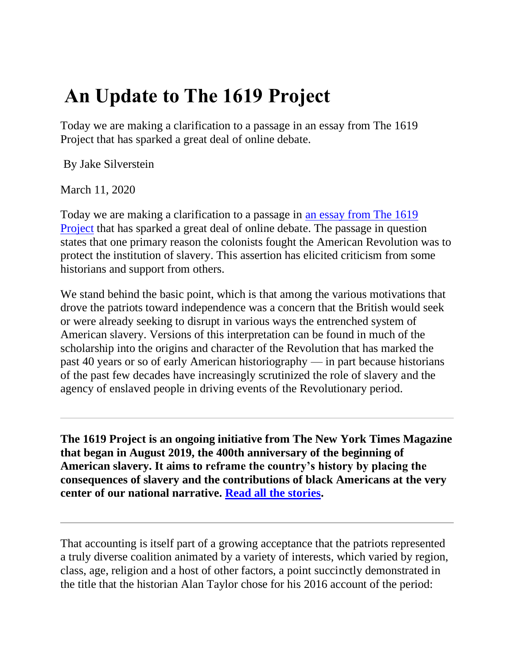## **An Update to The 1619 Project**

Today we are making a clarification to a passage in an essay from The 1619 Project that has sparked a great deal of online debate.

By Jake Silverstein

March 11, 2020

Today we are making a clarification to a passage in [an essay from The 1619](https://www.nytimes.com/interactive/2019/08/14/magazine/black-history-american-democracy.html)  [Project](https://www.nytimes.com/interactive/2019/08/14/magazine/black-history-american-democracy.html) that has sparked a great deal of online debate. The passage in question states that one primary reason the colonists fought the American Revolution was to protect the institution of slavery. This assertion has elicited criticism from some historians and support from others.

We stand behind the basic point, which is that among the various motivations that drove the patriots toward independence was a concern that the British would seek or were already seeking to disrupt in various ways the entrenched system of American slavery. Versions of this interpretation can be found in much of the scholarship into the origins and character of the Revolution that has marked the past 40 years or so of early American historiography — in part because historians of the past few decades have increasingly scrutinized the role of slavery and the agency of enslaved people in driving events of the Revolutionary period.

**The 1619 Project is an ongoing initiative from The New York Times Magazine that began in August 2019, the 400th anniversary of the beginning of American slavery. It aims to reframe the country's history by placing the consequences of slavery and the contributions of black Americans at the very center of our national narrative. [Read all the stories.](https://www.nytimes.com/interactive/2019/08/14/magazine/1619-america-slavery.html)**

That accounting is itself part of a growing acceptance that the patriots represented a truly diverse coalition animated by a variety of interests, which varied by region, class, age, religion and a host of other factors, a point succinctly demonstrated in the title that the historian Alan Taylor chose for his 2016 account of the period: